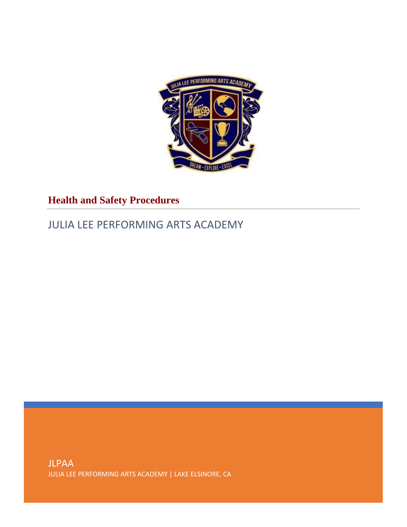

# **Health and Safety Procedures**

# JULIA LEE PERFORMING ARTS ACADEMY

JLPAA JULIA LEE PERFORMING ARTS ACADEMY | LAKE ELSINORE, CA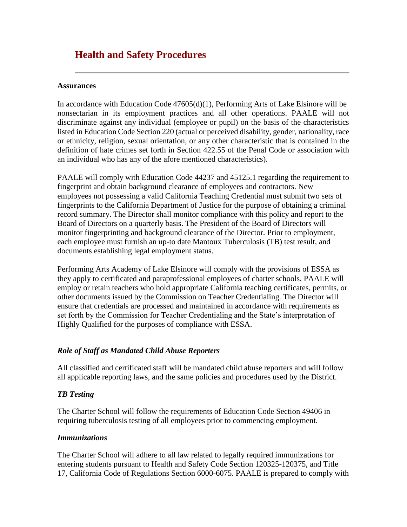# **Health and Safety Procedures**

#### **Assurances**

In accordance with Education Code 47605(d)(1), Performing Arts of Lake Elsinore will be nonsectarian in its employment practices and all other operations. PAALE will not discriminate against any individual (employee or pupil) on the basis of the characteristics listed in Education Code Section 220 (actual or perceived disability, gender, nationality, race or ethnicity, religion, sexual orientation, or any other characteristic that is contained in the definition of hate crimes set forth in Section 422.55 of the Penal Code or association with an individual who has any of the afore mentioned characteristics).

PAALE will comply with Education Code 44237 and 45125.1 regarding the requirement to fingerprint and obtain background clearance of employees and contractors. New employees not possessing a valid California Teaching Credential must submit two sets of fingerprints to the California Department of Justice for the purpose of obtaining a criminal record summary. The Director shall monitor compliance with this policy and report to the Board of Directors on a quarterly basis. The President of the Board of Directors will monitor fingerprinting and background clearance of the Director. Prior to employment, each employee must furnish an up-to date Mantoux Tuberculosis (TB) test result, and documents establishing legal employment status.

Performing Arts Academy of Lake Elsinore will comply with the provisions of ESSA as they apply to certificated and paraprofessional employees of charter schools. PAALE will employ or retain teachers who hold appropriate California teaching certificates, permits, or other documents issued by the Commission on Teacher Credentialing. The Director will ensure that credentials are processed and maintained in accordance with requirements as set forth by the Commission for Teacher Credentialing and the State's interpretation of Highly Qualified for the purposes of compliance with ESSA.

# *Role of Staff as Mandated Child Abuse Reporters*

All classified and certificated staff will be mandated child abuse reporters and will follow all applicable reporting laws, and the same policies and procedures used by the District.

### *TB Testing*

The Charter School will follow the requirements of Education Code Section 49406 in requiring tuberculosis testing of all employees prior to commencing employment.

### *Immunizations*

The Charter School will adhere to all law related to legally required immunizations for entering students pursuant to Health and Safety Code Section 120325-120375, and Title 17, California Code of Regulations Section 6000-6075. PAALE is prepared to comply with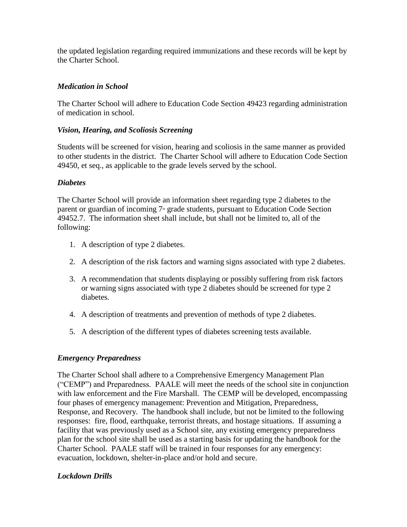the updated legislation regarding required immunizations and these records will be kept by the Charter School.

# *Medication in School*

The Charter School will adhere to Education Code Section 49423 regarding administration of medication in school.

### *Vision, Hearing, and Scoliosis Screening*

Students will be screened for vision, hearing and scoliosis in the same manner as provided to other students in the district. The Charter School will adhere to Education Code Section 49450, et seq., as applicable to the grade levels served by the school.

#### *Diabetes*

The Charter School will provide an information sheet regarding type 2 diabetes to the parent or guardian of incoming  $7<sup>th</sup>$  grade students, pursuant to Education Code Section 49452.7. The information sheet shall include, but shall not be limited to, all of the following:

- 1. A description of type 2 diabetes.
- 2. A description of the risk factors and warning signs associated with type 2 diabetes.
- 3. A recommendation that students displaying or possibly suffering from risk factors or warning signs associated with type 2 diabetes should be screened for type 2 diabetes.
- 4. A description of treatments and prevention of methods of type 2 diabetes.
- 5. A description of the different types of diabetes screening tests available.

### *Emergency Preparedness*

The Charter School shall adhere to a Comprehensive Emergency Management Plan ("CEMP") and Preparedness. PAALE will meet the needs of the school site in conjunction with law enforcement and the Fire Marshall. The CEMP will be developed, encompassing four phases of emergency management: Prevention and Mitigation, Preparedness, Response, and Recovery. The handbook shall include, but not be limited to the following responses: fire, flood, earthquake, terrorist threats, and hostage situations. If assuming a facility that was previously used as a School site, any existing emergency preparedness plan for the school site shall be used as a starting basis for updating the handbook for the Charter School. PAALE staff will be trained in four responses for any emergency: evacuation, lockdown, shelter-in-place and/or hold and secure.

### *Lockdown Drills*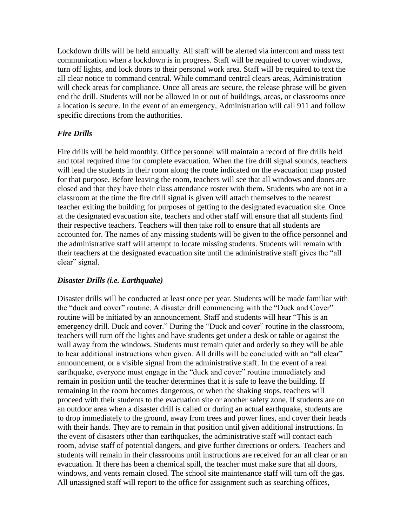Lockdown drills will be held annually. All staff will be alerted via intercom and mass text communication when a lockdown is in progress. Staff will be required to cover windows, turn off lights, and lock doors to their personal work area. Staff will be required to text the all clear notice to command central. While command central clears areas, Administration will check areas for compliance. Once all areas are secure, the release phrase will be given end the drill. Students will not be allowed in or out of buildings, areas, or classrooms once a location is secure. In the event of an emergency, Administration will call 911 and follow specific directions from the authorities.

# *Fire Drills*

Fire drills will be held monthly. Office personnel will maintain a record of fire drills held and total required time for complete evacuation. When the fire drill signal sounds, teachers will lead the students in their room along the route indicated on the evacuation map posted for that purpose. Before leaving the room, teachers will see that all windows and doors are closed and that they have their class attendance roster with them. Students who are not in a classroom at the time the fire drill signal is given will attach themselves to the nearest teacher exiting the building for purposes of getting to the designated evacuation site. Once at the designated evacuation site, teachers and other staff will ensure that all students find their respective teachers. Teachers will then take roll to ensure that all students are accounted for. The names of any missing students will be given to the office personnel and the administrative staff will attempt to locate missing students. Students will remain with their teachers at the designated evacuation site until the administrative staff gives the "all clear" signal.

### *Disaster Drills (i.e. Earthquake)*

Disaster drills will be conducted at least once per year. Students will be made familiar with the "duck and cover" routine. A disaster drill commencing with the "Duck and Cover" routine will be initiated by an announcement. Staff and students will hear "This is an emergency drill. Duck and cover." During the "Duck and cover" routine in the classroom, teachers will turn off the lights and have students get under a desk or table or against the wall away from the windows. Students must remain quiet and orderly so they will be able to hear additional instructions when given. All drills will be concluded with an "all clear" announcement, or a visible signal from the administrative staff. In the event of a real earthquake, everyone must engage in the "duck and cover" routine immediately and remain in position until the teacher determines that it is safe to leave the building. If remaining in the room becomes dangerous, or when the shaking stops, teachers will proceed with their students to the evacuation site or another safety zone. If students are on an outdoor area when a disaster drill is called or during an actual earthquake, students are to drop immediately to the ground, away from trees and power lines, and cover their heads with their hands. They are to remain in that position until given additional instructions. In the event of disasters other than earthquakes, the administrative staff will contact each room, advise staff of potential dangers, and give further directions or orders. Teachers and students will remain in their classrooms until instructions are received for an all clear or an evacuation. If there has been a chemical spill, the teacher must make sure that all doors, windows, and vents remain closed. The school site maintenance staff will turn off the gas. All unassigned staff will report to the office for assignment such as searching offices,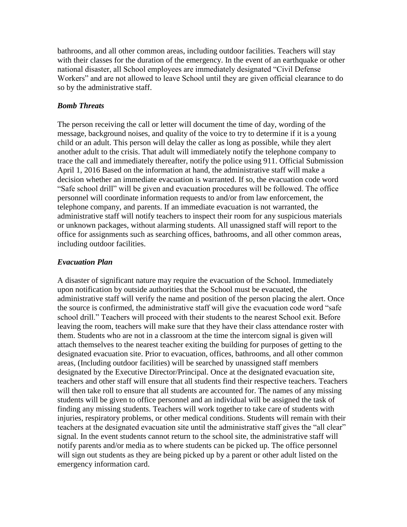bathrooms, and all other common areas, including outdoor facilities. Teachers will stay with their classes for the duration of the emergency. In the event of an earthquake or other national disaster, all School employees are immediately designated "Civil Defense Workers" and are not allowed to leave School until they are given official clearance to do so by the administrative staff.

### *Bomb Threats*

The person receiving the call or letter will document the time of day, wording of the message, background noises, and quality of the voice to try to determine if it is a young child or an adult. This person will delay the caller as long as possible, while they alert another adult to the crisis. That adult will immediately notify the telephone company to trace the call and immediately thereafter, notify the police using 911. Official Submission April 1, 2016 Based on the information at hand, the administrative staff will make a decision whether an immediate evacuation is warranted. If so, the evacuation code word "Safe school drill" will be given and evacuation procedures will be followed. The office personnel will coordinate information requests to and/or from law enforcement, the telephone company, and parents. If an immediate evacuation is not warranted, the administrative staff will notify teachers to inspect their room for any suspicious materials or unknown packages, without alarming students. All unassigned staff will report to the office for assignments such as searching offices, bathrooms, and all other common areas, including outdoor facilities.

#### *Evacuation Plan*

A disaster of significant nature may require the evacuation of the School. Immediately upon notification by outside authorities that the School must be evacuated, the administrative staff will verify the name and position of the person placing the alert. Once the source is confirmed, the administrative staff will give the evacuation code word "safe school drill." Teachers will proceed with their students to the nearest School exit. Before leaving the room, teachers will make sure that they have their class attendance roster with them. Students who are not in a classroom at the time the intercom signal is given will attach themselves to the nearest teacher exiting the building for purposes of getting to the designated evacuation site. Prior to evacuation, offices, bathrooms, and all other common areas, (Including outdoor facilities) will be searched by unassigned staff members designated by the Executive Director/Principal. Once at the designated evacuation site, teachers and other staff will ensure that all students find their respective teachers. Teachers will then take roll to ensure that all students are accounted for. The names of any missing students will be given to office personnel and an individual will be assigned the task of finding any missing students. Teachers will work together to take care of students with injuries, respiratory problems, or other medical conditions. Students will remain with their teachers at the designated evacuation site until the administrative staff gives the "all clear" signal. In the event students cannot return to the school site, the administrative staff will notify parents and/or media as to where students can be picked up. The office personnel will sign out students as they are being picked up by a parent or other adult listed on the emergency information card.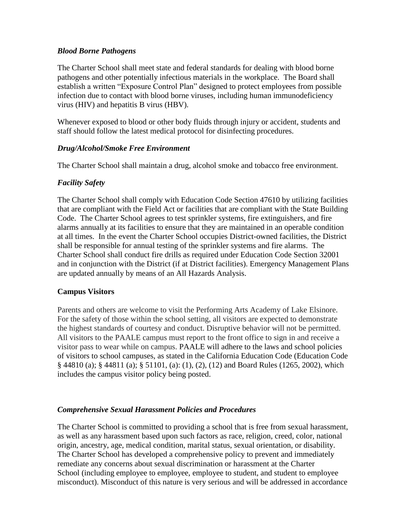# *Blood Borne Pathogens*

The Charter School shall meet state and federal standards for dealing with blood borne pathogens and other potentially infectious materials in the workplace. The Board shall establish a written "Exposure Control Plan" designed to protect employees from possible infection due to contact with blood borne viruses, including human immunodeficiency virus (HIV) and hepatitis B virus (HBV).

Whenever exposed to blood or other body fluids through injury or accident, students and staff should follow the latest medical protocol for disinfecting procedures.

# *Drug/Alcohol/Smoke Free Environment*

The Charter School shall maintain a drug, alcohol smoke and tobacco free environment.

# *Facility Safety*

The Charter School shall comply with Education Code Section 47610 by utilizing facilities that are compliant with the Field Act or facilities that are compliant with the State Building Code. The Charter School agrees to test sprinkler systems, fire extinguishers, and fire alarms annually at its facilities to ensure that they are maintained in an operable condition at all times. In the event the Charter School occupies District-owned facilities, the District shall be responsible for annual testing of the sprinkler systems and fire alarms. The Charter School shall conduct fire drills as required under Education Code Section 32001 and in conjunction with the District (if at District facilities). Emergency Management Plans are updated annually by means of an All Hazards Analysis.

# **Campus Visitors**

Parents and others are welcome to visit the Performing Arts Academy of Lake Elsinore. For the safety of those within the school setting, all visitors are expected to demonstrate the highest standards of courtesy and conduct. Disruptive behavior will not be permitted. All visitors to the PAALE campus must report to the front office to sign in and receive a visitor pass to wear while on campus. PAALE will adhere to the laws and school policies of visitors to school campuses, as stated in the California Education Code (Education Code § 44810 (a); § 44811 (a); § 51101, (a): (1), (2), (12) and Board Rules (1265, 2002), which includes the campus visitor policy being posted.

# *Comprehensive Sexual Harassment Policies and Procedures*

The Charter School is committed to providing a school that is free from sexual harassment, as well as any harassment based upon such factors as race, religion, creed, color, national origin, ancestry, age, medical condition, marital status, sexual orientation, or disability. The Charter School has developed a comprehensive policy to prevent and immediately remediate any concerns about sexual discrimination or harassment at the Charter School (including employee to employee, employee to student, and student to employee misconduct). Misconduct of this nature is very serious and will be addressed in accordance